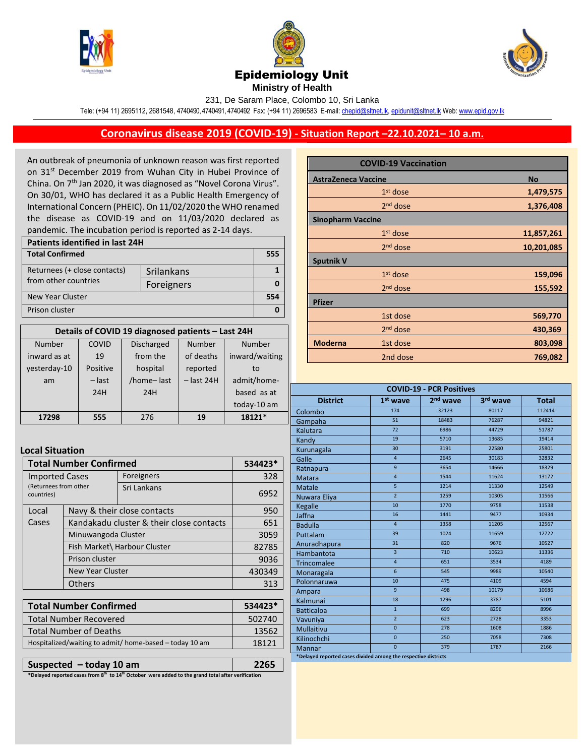





**Ministry of Health** 

231, De Saram Place, Colombo 10, Sri Lanka

Tele: (+94 11) 2695112, 2681548, 4740490, 4740491, 4740492 Fax: (+94 11) 2696583 E-mail[: chepid@sltnet.lk,](mailto:chepi@sltnet.lk) [epidunit@sltnet.lk](mailto:epidunit@sltnet.lk) Web[: www.epid.gov.lk](http://www.epid.gov.lk/)

## **Coronavirus disease 2019 (COVID-19) - Situation Report –22.10.2021– 10 a.m.**

An outbreak of pneumonia of unknown reason was first reported on 31<sup>st</sup> December 2019 from Wuhan City in Hubei Province of China. On 7<sup>th</sup> Jan 2020, it was diagnosed as "Novel Corona Virus". On 30/01, WHO has declared it as a Public Health Emergency of International Concern (PHEIC). On 11/02/2020 the WHO renamed the disease as COVID-19 and on 11/03/2020 declared as pandemic. The incubation period is reported as 2-14 days.

| <b>Patients identified in last 24H</b> |            |     |  |
|----------------------------------------|------------|-----|--|
| <b>Total Confirmed</b>                 |            | 555 |  |
| Returnees (+ close contacts)           | Srilankans |     |  |
| from other countries                   | Foreigners |     |  |
| <b>New Year Cluster</b>                |            |     |  |
| Prison cluster                         |            |     |  |

| Details of COVID 19 diagnosed patients - Last 24H |          |                   |              |                |
|---------------------------------------------------|----------|-------------------|--------------|----------------|
| <b>Number</b>                                     | COVID    | <b>Discharged</b> | Number       | Number         |
| inward as at                                      | 19       | from the          | of deaths    | inward/waiting |
| yesterday-10                                      | Positive | hospital          | reported     | to             |
| am                                                | $-$ last | /home-last        | $-$ last 24H | admit/home-    |
|                                                   | 24H      | 24H               |              | based as at    |
|                                                   |          |                   |              | today-10 am    |
| 17298                                             | 555      | 276               | 19           | 18121*         |

## **Local Situation**

| <b>Total Number Confirmed</b>       |                                          |             | 534423* |
|-------------------------------------|------------------------------------------|-------------|---------|
| <b>Imported Cases</b>               |                                          | Foreigners  | 328     |
| (Returnees from other<br>countries) |                                          | Sri Lankans | 6952    |
| Local                               | Navy & their close contacts              |             | 950     |
| Cases                               | Kandakadu cluster & their close contacts |             | 651     |
|                                     | Minuwangoda Cluster                      |             | 3059    |
|                                     | Fish Market\ Harbour Cluster             |             | 82785   |
| Prison cluster                      |                                          | 9036        |         |
|                                     | <b>New Year Cluster</b>                  |             | 430349  |
|                                     | Others                                   |             | 313     |

| <b>Total Number Confirmed</b>                           | $534423*$ |
|---------------------------------------------------------|-----------|
| Total Number Recovered                                  | 502740    |
| l Total Number of Deaths                                | 13562     |
| Hospitalized/waiting to admit/ home-based - today 10 am | 18121     |
|                                                         |           |

**Suspected – today 10 am 2265**

**\*Delayed reported cases from 8 th to 14th October were added to the grand total after verification**

|                            | <b>COVID-19 Vaccination</b> |            |
|----------------------------|-----------------------------|------------|
| <b>AstraZeneca Vaccine</b> |                             | <b>No</b>  |
|                            | $1st$ dose                  | 1,479,575  |
|                            | $2nd$ dose                  | 1,376,408  |
| <b>Sinopharm Vaccine</b>   |                             |            |
|                            | $1st$ dose                  | 11,857,261 |
|                            | $2nd$ dose                  | 10,201,085 |
| <b>Sputnik V</b>           |                             |            |
|                            | $1st$ dose                  | 159,096    |
|                            | $2nd$ dose                  | 155,592    |
| <b>Pfizer</b>              |                             |            |
|                            | 1st dose                    | 569,770    |
|                            | 2 <sup>nd</sup> dose        | 430,369    |
| <b>Moderna</b>             | 1st dose                    | 803,098    |
|                            | 2nd dose                    | 769,082    |

| <b>COVID-19 - PCR Positives</b>                                |                 |                      |          |              |
|----------------------------------------------------------------|-----------------|----------------------|----------|--------------|
| <b>District</b>                                                | $1st$ wave      | 2 <sup>nd</sup> wave | 3rd wave | <b>Total</b> |
| Colombo                                                        | 174             | 32123                | 80117    | 112414       |
| Gampaha                                                        | 51              | 18483                | 76287    | 94821        |
| Kalutara                                                       | $\overline{72}$ | 6986                 | 44729    | 51787        |
| Kandy                                                          | 19              | 5710                 | 13685    | 19414        |
| Kurunagala                                                     | 30              | 3191                 | 22580    | 25801        |
| Galle                                                          | $\overline{4}$  | 2645                 | 30183    | 32832        |
| Ratnapura                                                      | 9               | 3654                 | 14666    | 18329        |
| Matara                                                         | $\overline{4}$  | 1544                 | 11624    | 13172        |
| <b>Matale</b>                                                  | 5               | 1214                 | 11330    | 12549        |
| Nuwara Eliya                                                   | $\overline{2}$  | 1259                 | 10305    | 11566        |
| <b>Kegalle</b>                                                 | 10              | 1770                 | 9758     | 11538        |
| Jaffna                                                         | 16              | 1441                 | 9477     | 10934        |
| <b>Badulla</b>                                                 | $\overline{4}$  | 1358                 | 11205    | 12567        |
| Puttalam                                                       | 39              | 1024                 | 11659    | 12722        |
| Anuradhapura                                                   | 31              | 820                  | 9676     | 10527        |
| Hambantota                                                     | $\overline{3}$  | 710                  | 10623    | 11336        |
| <b>Trincomalee</b>                                             | $\overline{4}$  | 651                  | 3534     | 4189         |
| Monaragala                                                     | $6\overline{6}$ | 545                  | 9989     | 10540        |
| Polonnaruwa                                                    | 10              | 475                  | 4109     | 4594         |
| Ampara                                                         | 9               | 498                  | 10179    | 10686        |
| Kalmunai                                                       | 18              | 1296                 | 3787     | 5101         |
| <b>Batticaloa</b>                                              | $\mathbf{1}$    | 699                  | 8296     | 8996         |
| Vavuniya                                                       | $\overline{2}$  | 623                  | 2728     | 3353         |
| <b>Mullaitivu</b>                                              | $\overline{0}$  | 278                  | 1608     | 1886         |
| Kilinochchi                                                    | $\overline{0}$  | 250                  | 7058     | 7308         |
| Mannar                                                         | $\overline{0}$  | 379                  | 1787     | 2166         |
| *Delayed reported cases divided among the respective districts |                 |                      |          |              |